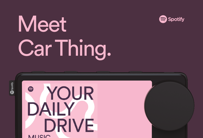# **Meet** Car Thing.



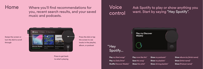Home Where you'll find recommendations for you, recent search results, and your saved music and podcasts.



Press the dial or tap the screen to see tracks in the playlist, album, or podcast

Press to get back to what's playing

## Voice control

Ask Spotify to play or show anything you want. Start by saying "Hey Spotify".



**Play** my liked songs" **Play** my Daily Drive" **Shuffle Discover Weekly"** 

"Hey

**Play** more like this" **Save** this song" **Show** this artist" **Show** my podcasts" **Show** my playlists" **Show** driving playlists" **Show** albums by [Artist name] **Show** [Artist name]" **Show** [Podcast name]"

#### Swipe the screen or turn the dial to scroll through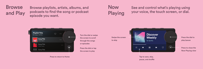**Browse** and Play Browse playlists, artists, albums, and podcasts to find the song or podcast episode you want.

## Now Playing

See and control what's playing using your voice, the touch screen, or dial.



Press to return to Home

Turn the dial or swipe the screen to scroll through the songs or episodes

Press the dial or tap the screen to play



pause, and shuffle